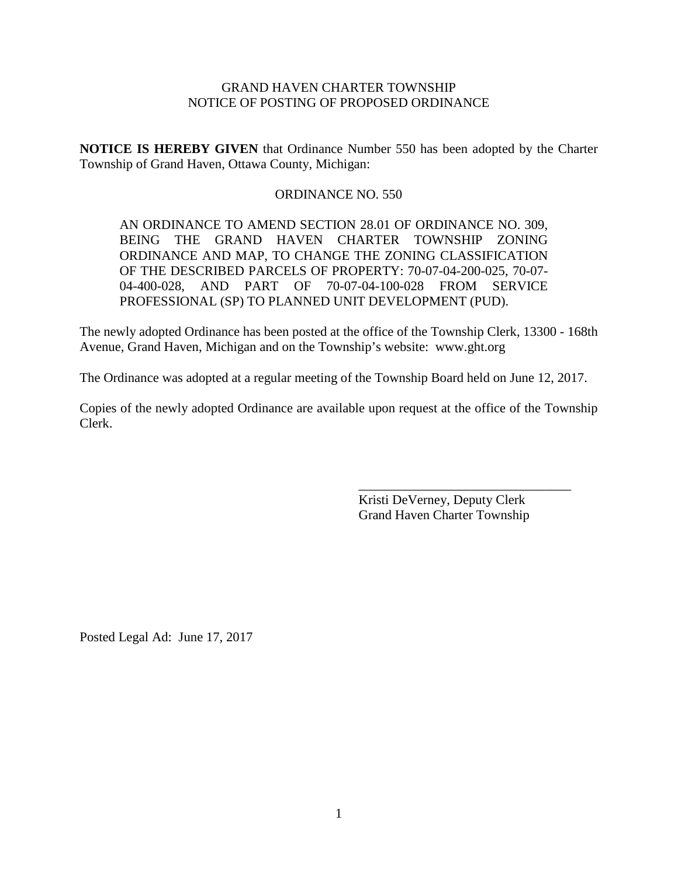# GRAND HAVEN CHARTER TOWNSHIP NOTICE OF POSTING OF PROPOSED ORDINANCE

**NOTICE IS HEREBY GIVEN** that Ordinance Number 550 has been adopted by the Charter Township of Grand Haven, Ottawa County, Michigan:

# ORDINANCE NO. 550

AN ORDINANCE TO AMEND SECTION 28.01 OF ORDINANCE NO. 309, BEING THE GRAND HAVEN CHARTER TOWNSHIP ZONING ORDINANCE AND MAP, TO CHANGE THE ZONING CLASSIFICATION OF THE DESCRIBED PARCELS OF PROPERTY: 70-07-04-200-025, 70-07- 04-400-028, AND PART OF 70-07-04-100-028 FROM SERVICE PROFESSIONAL (SP) TO PLANNED UNIT DEVELOPMENT (PUD).

The newly adopted Ordinance has been posted at the office of the Township Clerk, 13300 - 168th Avenue, Grand Haven, Michigan and on the Township's website: www.ght.org

The Ordinance was adopted at a regular meeting of the Township Board held on June 12, 2017.

Copies of the newly adopted Ordinance are available upon request at the office of the Township Clerk.

> Kristi DeVerney, Deputy Clerk Grand Haven Charter Township

\_\_\_\_\_\_\_\_\_\_\_\_\_\_\_\_\_\_\_\_\_\_\_\_\_\_\_\_\_\_\_\_

Posted Legal Ad: June 17, 2017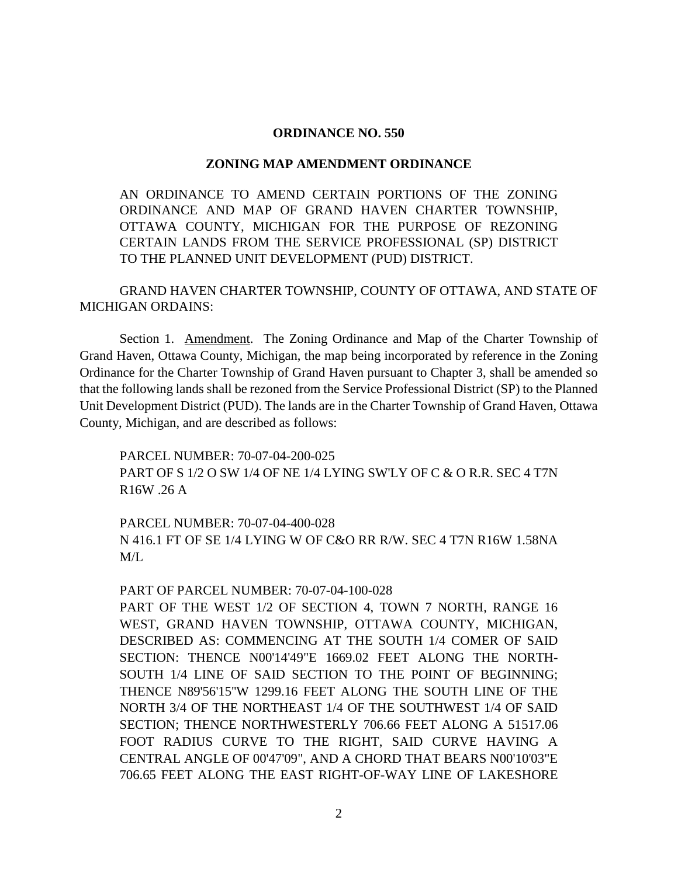## **ORDINANCE NO. 550**

### **ZONING MAP AMENDMENT ORDINANCE**

AN ORDINANCE TO AMEND CERTAIN PORTIONS OF THE ZONING ORDINANCE AND MAP OF GRAND HAVEN CHARTER TOWNSHIP, OTTAWA COUNTY, MICHIGAN FOR THE PURPOSE OF REZONING CERTAIN LANDS FROM THE SERVICE PROFESSIONAL (SP) DISTRICT TO THE PLANNED UNIT DEVELOPMENT (PUD) DISTRICT.

GRAND HAVEN CHARTER TOWNSHIP, COUNTY OF OTTAWA, AND STATE OF MICHIGAN ORDAINS:

Section 1. Amendment. The Zoning Ordinance and Map of the Charter Township of Grand Haven, Ottawa County, Michigan, the map being incorporated by reference in the Zoning Ordinance for the Charter Township of Grand Haven pursuant to Chapter 3, shall be amended so that the following lands shall be rezoned from the Service Professional District (SP) to the Planned Unit Development District (PUD). The lands are in the Charter Township of Grand Haven, Ottawa County, Michigan, and are described as follows:

PARCEL NUMBER: 70-07-04-200-025 PART OF S 1/2 O SW 1/4 OF NE 1/4 LYING SW'LY OF C & O R.R. SEC 4 T7N R16W .26 A

PARCEL NUMBER: 70-07-04-400-028 N 416.1 FT OF SE 1/4 LYING W OF C&O RR R/W. SEC 4 T7N R16W 1.58NA M/L

### PART OF PARCEL NUMBER: 70-07-04-100-028

PART OF THE WEST 1/2 OF SECTION 4, TOWN 7 NORTH, RANGE 16 WEST, GRAND HAVEN TOWNSHIP, OTTAWA COUNTY, MICHIGAN, DESCRIBED AS: COMMENCING AT THE SOUTH 1/4 COMER OF SAID SECTION: THENCE N00'14'49"E 1669.02 FEET ALONG THE NORTH-SOUTH 1/4 LINE OF SAID SECTION TO THE POINT OF BEGINNING; THENCE N89'56'15''W 1299.16 FEET ALONG THE SOUTH LINE OF THE NORTH 3/4 OF THE NORTHEAST 1/4 OF THE SOUTHWEST 1/4 OF SAID SECTION; THENCE NORTHWESTERLY 706.66 FEET ALONG A 51517.06 FOOT RADIUS CURVE TO THE RIGHT, SAID CURVE HAVING A CENTRAL ANGLE OF 00'47'09", AND A CHORD THAT BEARS N00'10'03"E 706.65 FEET ALONG THE EAST RIGHT-OF-WAY LINE OF LAKESHORE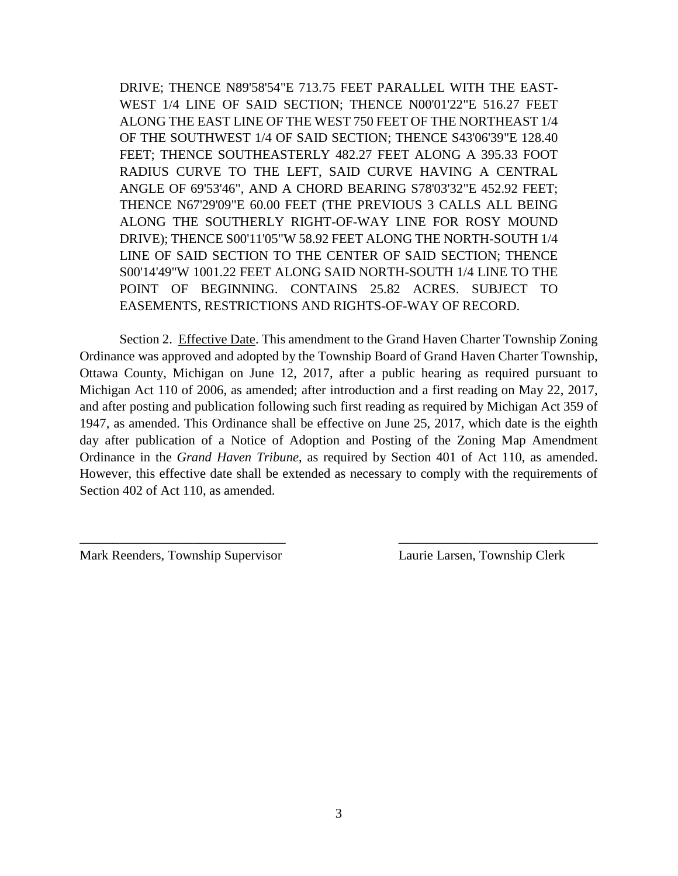DRIVE; THENCE N89'58'54"E 713.75 FEET PARALLEL WITH THE EAST-WEST 1/4 LINE OF SAID SECTION; THENCE N00'01'22"E 516.27 FEET ALONG THE EAST LINE OF THE WEST 750 FEET OF THE NORTHEAST 1/4 OF THE SOUTHWEST 1/4 OF SAID SECTION; THENCE S43'06'39"E 128.40 FEET; THENCE SOUTHEASTERLY 482.27 FEET ALONG A 395.33 FOOT RADIUS CURVE TO THE LEFT, SAID CURVE HAVING A CENTRAL ANGLE OF 69'53'46", AND A CHORD BEARING S78'03'32"E 452.92 FEET; THENCE N67'29'09"E 60.00 FEET (THE PREVIOUS 3 CALLS ALL BEING ALONG THE SOUTHERLY RIGHT-OF-WAY LINE FOR ROSY MOUND DRIVE); THENCE S00'11'05"W 58.92 FEET ALONG THE NORTH-SOUTH 1/4 LINE OF SAID SECTION TO THE CENTER OF SAID SECTION; THENCE S00'14'49"W 1001.22 FEET ALONG SAID NORTH-SOUTH 1/4 LINE TO THE POINT OF BEGINNING. CONTAINS 25.82 ACRES. SUBJECT TO EASEMENTS, RESTRICTIONS AND RIGHTS-OF-WAY OF RECORD.

Section 2. Effective Date. This amendment to the Grand Haven Charter Township Zoning Ordinance was approved and adopted by the Township Board of Grand Haven Charter Township, Ottawa County, Michigan on June 12, 2017, after a public hearing as required pursuant to Michigan Act 110 of 2006, as amended; after introduction and a first reading on May 22, 2017, and after posting and publication following such first reading as required by Michigan Act 359 of 1947, as amended. This Ordinance shall be effective on June 25, 2017, which date is the eighth day after publication of a Notice of Adoption and Posting of the Zoning Map Amendment Ordinance in the *Grand Haven Tribune*, as required by Section 401 of Act 110, as amended. However, this effective date shall be extended as necessary to comply with the requirements of Section 402 of Act 110, as amended.

\_\_\_\_\_\_\_\_\_\_\_\_\_\_\_\_\_\_\_\_\_\_\_\_\_\_\_\_\_\_\_ \_\_\_\_\_\_\_\_\_\_\_\_\_\_\_\_\_\_\_\_\_\_\_\_\_\_\_\_\_\_

Mark Reenders, Township Supervisor Laurie Larsen, Township Clerk